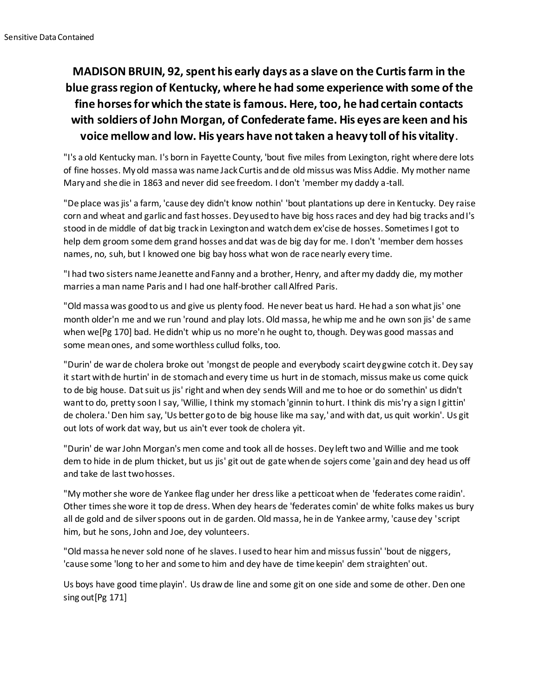## **MADISON BRUIN, 92, spent his early days as a slave on the Curtis farm in the blue grass region of Kentucky, where he had some experience with some of the fine horses for which the state is famous. Here, too, he had certain contacts with soldiers of John Morgan, of Confederate fame. His eyes are keen and his voice mellow and low. His years have not taken a heavy toll of his vitality.**

"I's a old Kentucky man. I's born in Fayette County, 'bout five miles from Lexington, right where dere lots of fine hosses. Myold massa was name Jack Curtis and de old missus was Miss Addie. My mother name Mary and she die in 1863 and never did see freedom. I don't 'member my daddy a-tall.

"De place was jis' a farm, 'cause dey didn't know nothin' 'bout plantations up dere in Kentucky. Dey raise corn and wheat and garlic and fast hosses. Dey used to have big hoss races and dey had big tracks and I's stood in de middle of dat big track in Lexington and watch dem ex'cise de hosses. Sometimes I got to help dem groom some dem grand hosses and dat was de big day for me. I don't 'member dem hosses names, no, suh, but I knowed one big bay hoss what won de race nearly every time.

"I had two sisters name Jeanette and Fanny and a brother, Henry, and after my daddy die, my mother marries a man name Paris and I had one half-brother call Alfred Paris.

"Old massa was good to us and give us plenty food. He never beat us hard. He had a son what jis' one month older'n me and we run 'round and play lots. Old massa, he whip me and he own son jis' de same when we[Pg 170] bad. He didn't whip us no more'n he ought to, though. Dey was good massas and some mean ones, and some worthless cullud folks, too.

"Durin' de war de cholera broke out 'mongst de people and everybody scairt dey gwine cotch it. Dey say it start with de hurtin' in de stomach and every time us hurt in de stomach, missus make us come quick to de big house. Dat suit us jis' right and when dey sends Will and me to hoe or do somethin' us didn't want to do, pretty soon I say, 'Willie, I think my stomach 'ginnin to hurt. I think dis mis'ry a sign I gittin' de cholera.' Den him say, 'Us better go to de big house like ma say,' and with dat, us quit workin'. Us git out lots of work dat way, but us ain't ever took de cholera yit.

"Durin' de war John Morgan's men come and took all de hosses. Dey left two and Willie and me took dem to hide in de plum thicket, but us jis' git out de gate when de sojers come 'gain and dey head us off and take de last two hosses.

"My mother she wore de Yankee flag under her dress like a petticoat when de 'federates come raidin'. Other times she wore it top de dress. When dey hears de 'federates comin' de white folks makes us bury all de gold and de silver spoons out in de garden. Old massa, he in de Yankee army, 'cause dey 'script him, but he sons, John and Joe, dey volunteers.

"Old massa he never sold none of he slaves. I used to hear him and missus fussin' 'bout de niggers, 'cause some 'long to her and some to him and dey have de time keepin' dem straighten' out.

Us boys have good time playin'. Us draw de line and some git on one side and some de other. Den one sing out[Pg 171]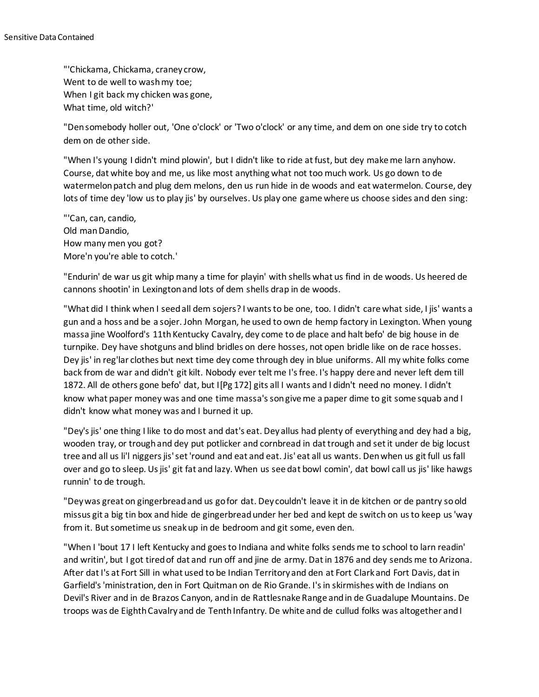"'Chickama, Chickama, craney crow, Went to de well to wash my toe; When I git back my chicken was gone, What time, old witch?'

"Den somebody holler out, 'One o'clock' or 'Two o'clock' or any time, and dem on one side try to cotch dem on de other side.

"When I's young I didn't mind plowin', but I didn't like to ride at fust, but dey make me larn anyhow. Course, dat white boy and me, us like most anything what not too much work. Us go down to de watermelon patch and plug dem melons, den us run hide in de woods and eat watermelon. Course, dey lots of time dey 'low us to play jis' by ourselves. Us play one game where us choose sides and den sing:

"'Can, can, candio, Old man Dandio, How many men you got? More'n you're able to cotch.'

"Endurin' de war us git whip many a time for playin' with shells what us find in de woods. Us heered de cannons shootin' in Lexington and lots of dem shells drap in de woods.

"What did I think when I seed all dem sojers? I wants to be one, too. I didn't care what side, I jis' wants a gun and a hoss and be a sojer. John Morgan, he used to own de hemp factory in Lexington. When young massa jine Woolford's 11th Kentucky Cavalry, dey come to de place and halt befo' de big house in de turnpike. Dey have shotguns and blind bridles on dere hosses, not open bridle like on de race hosses. Dey jis' in reg'lar clothes but next time dey come through dey in blue uniforms. All my white folks come back from de war and didn't git kilt. Nobody ever telt me I's free. I's happy dere and never left dem till 1872. All de others gone befo' dat, but I[Pg 172] gits all I wants and I didn't need no money. I didn't know what paper money was and one time massa's son give me a paper dime to git some squab and I didn't know what money was and I burned it up.

"Dey's jis' one thing I like to do most and dat's eat. Dey allus had plenty of everything and dey had a big, wooden tray, or trough and dey put potlicker and cornbread in dat trough and set it under de big locust tree and all us li'l niggers jis' set 'round and eat and eat. Jis' eat all us wants. Den when us git full us fall over and go to sleep. Us jis' git fat and lazy. When us see dat bowl comin', dat bowl call us jis' like hawgs runnin' to de trough.

"Dey was great on gingerbread and us go for dat. Dey couldn't leave it in de kitchen or de pantry so old missus git a big tin box and hide de gingerbread under her bed and kept de switch on us to keep us 'way from it. But sometime us sneak up in de bedroom and git some, even den.

"When I 'bout 17 I left Kentucky and goes to Indiana and white folks sends me to school to larn readin' and writin', but I got tired of dat and run off and jine de army. Dat in 1876 and dey sends me to Arizona. After dat I's at Fort Sill in what used to be Indian Territory and den at Fort Clark and Fort Davis, dat in Garfield's 'ministration, den in Fort Quitman on de Rio Grande. I's in skirmishes with de Indians on Devil's River and in de Brazos Canyon, and in de Rattlesnake Range and in de Guadalupe Mountains. De troops was de Eighth Cavalry and de Tenth Infantry. De white and de cullud folks was altogether and I